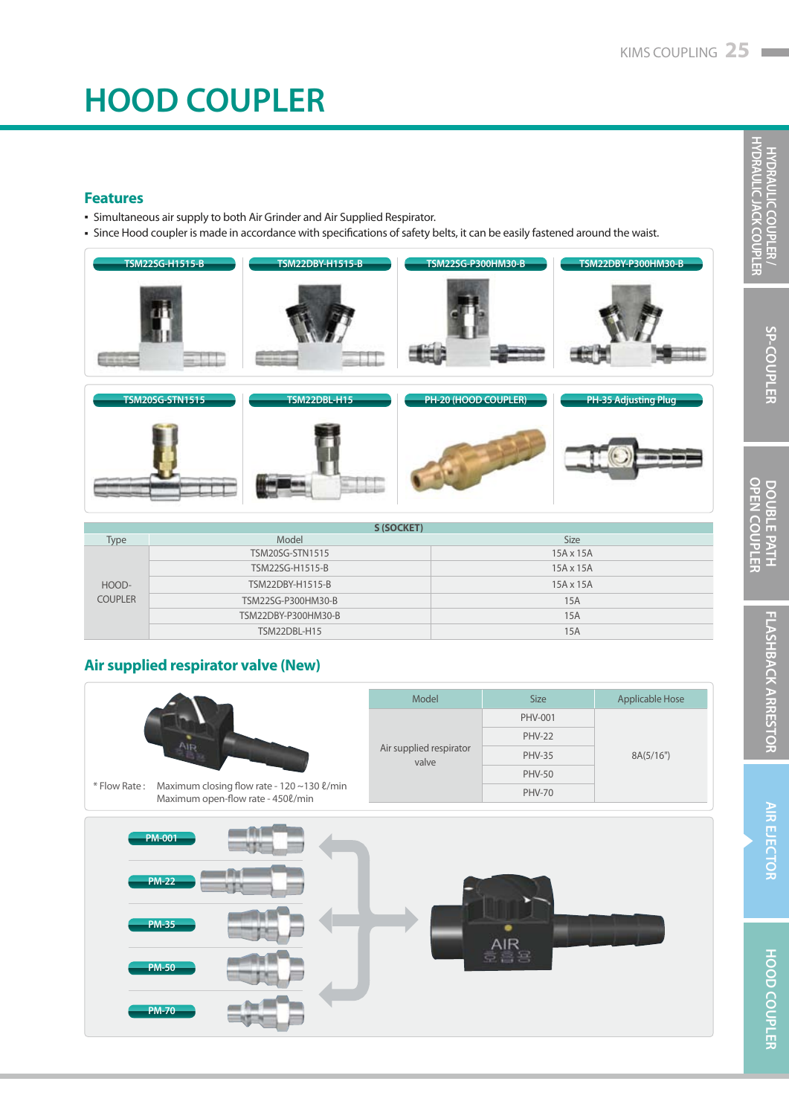# **HOOD COUPLER**

### **Features**

- Simultaneous air supply to both Air Grinder and Air Supplied Respirator. ▪
- Since Hood coupler is made in accordance with specifications of safety belts, it can be easily fastened around the waist.





| S (SOCKET)     |                     |                  |  |  |  |  |
|----------------|---------------------|------------------|--|--|--|--|
| Type           | Model               | <b>Size</b>      |  |  |  |  |
| HOOD-          | TSM20SG-STN1515     | $15A \times 15A$ |  |  |  |  |
|                | TSM22SG-H1515-B     | $15A \times 15A$ |  |  |  |  |
|                | TSM22DBY-H1515-B    | 15A x 15A        |  |  |  |  |
| <b>COUPLER</b> | TSM22SG-P300HM30-B  | 15A              |  |  |  |  |
|                | TSM22DBY-P300HM30-B | 15A              |  |  |  |  |
|                | TSM22DBL-H15        | 15A              |  |  |  |  |

### **Air supplied respirator valve (New)**



### **H Y DRAULIC COUPLE H Y DRAULIC J ACK COUPLE**

**R /** 

**R**

**R**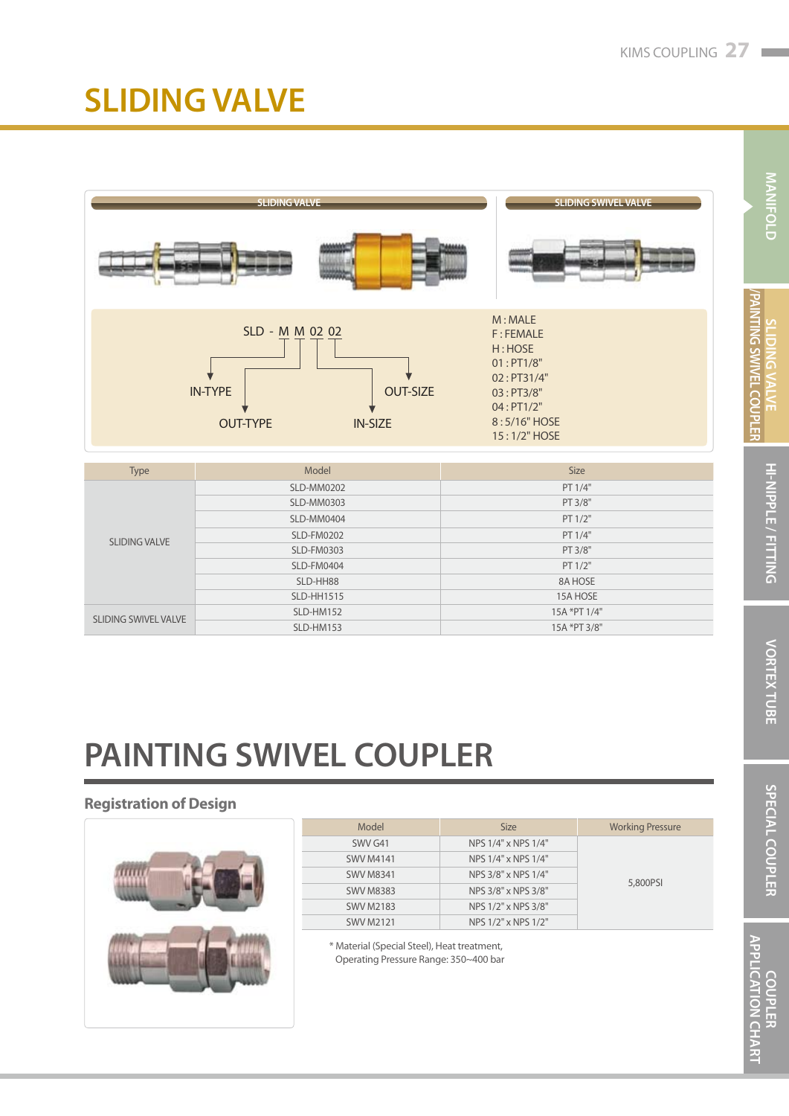### **SLIDING VALVE**



| <b>Type</b>          | Model             | <b>Size</b>  |  |
|----------------------|-------------------|--------------|--|
|                      | SLD-MM0202        | PT 1/4"      |  |
|                      | <b>SLD-MM0303</b> | PT 3/8"      |  |
|                      | SLD-MM0404        | PT 1/2"      |  |
| <b>SLIDING VALVE</b> | <b>SLD-FM0202</b> | PT 1/4"      |  |
|                      | <b>SLD-FM0303</b> | PT 3/8"      |  |
|                      | SLD-FM0404        | PT 1/2"      |  |
|                      | SLD-HH88          | 8A HOSE      |  |
|                      | <b>SLD-HH1515</b> | 15A HOSE     |  |
| SLIDING SWIVEL VALVE | SLD-HM152         | 15A *PT 1/4" |  |
|                      | SLD-HM153         | 15A *PT 3/8" |  |

# **PAINTING SWIVEL COUPLER**

### **Registration of Design**



| Model            | <b>Size</b>         | <b>Working Pressure</b> |
|------------------|---------------------|-------------------------|
| SWV G41          | NPS 1/4" x NPS 1/4" |                         |
| <b>SWV M4141</b> | NPS 1/4" x NPS 1/4" |                         |
| <b>SWV M8341</b> | NPS 3/8" x NPS 1/4" | 5,800PSI                |
| <b>SWV M8383</b> | NPS 3/8" x NPS 3/8" |                         |
| <b>SWV M2183</b> | NPS 1/2" x NPS 3/8" |                         |
| <b>SWV M2121</b> | NPS 1/2" x NPS 1/2" |                         |

\* Material (Special Steel), Heat treatment, Operating Pressure Range: 350~400 bar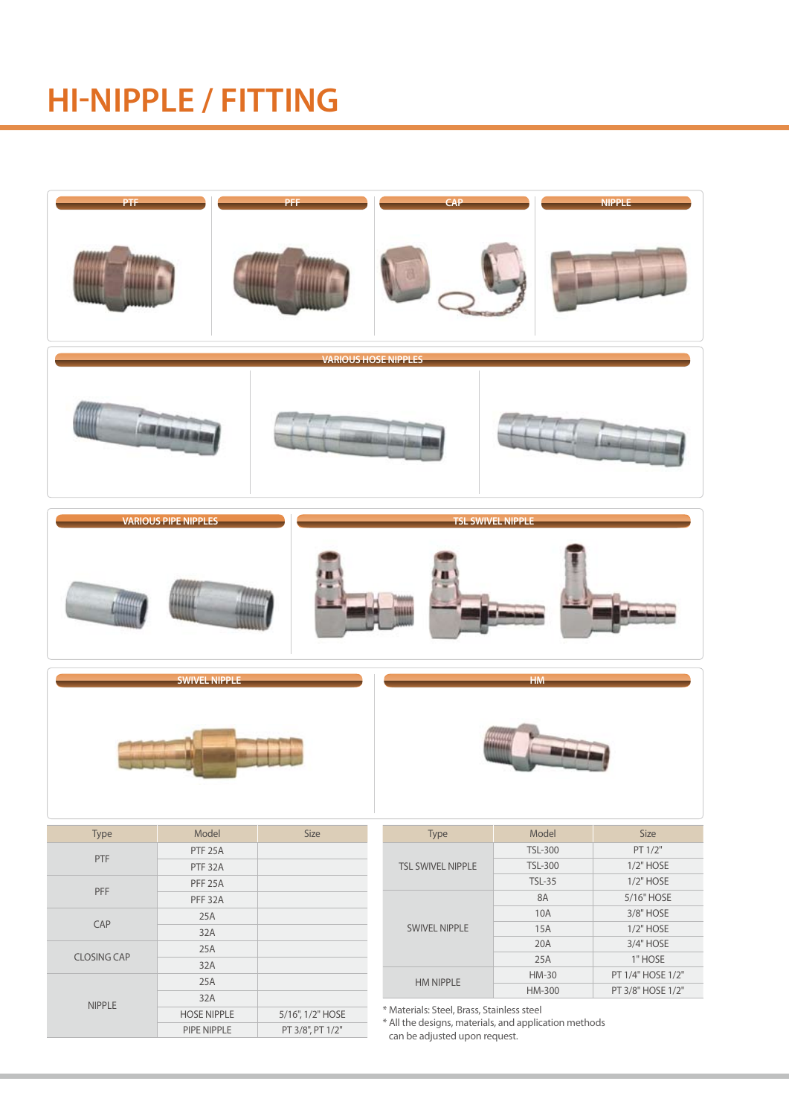### **HI-NIPPLE / FITTING**



PIPE NIPPLE PT 3/8", PT 1/2"

\* All the designs, materials, and application methods can be adjusted upon request.